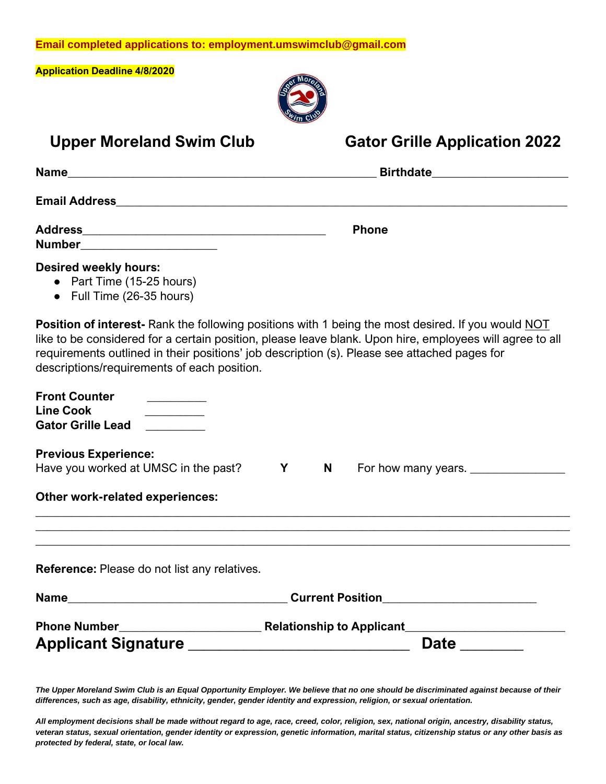**Email completed applications to: employment.umswimclub@gmail.com**

**Application Deadline 4/8/2020**



|                                                                                        | 2m <sub>o</sub>                                                                                                                                                                                                                                                                                                       |
|----------------------------------------------------------------------------------------|-----------------------------------------------------------------------------------------------------------------------------------------------------------------------------------------------------------------------------------------------------------------------------------------------------------------------|
| <b>Upper Moreland Swim Club</b>                                                        | <b>Gator Grille Application 2022</b>                                                                                                                                                                                                                                                                                  |
|                                                                                        | <b>Birthdate Example 2016</b>                                                                                                                                                                                                                                                                                         |
|                                                                                        |                                                                                                                                                                                                                                                                                                                       |
| Number______________________                                                           | <b>Phone</b>                                                                                                                                                                                                                                                                                                          |
| <b>Desired weekly hours:</b><br>• Part Time (15-25 hours)<br>• Full Time (26-35 hours) |                                                                                                                                                                                                                                                                                                                       |
| descriptions/requirements of each position.                                            | <b>Position of interest-</b> Rank the following positions with 1 being the most desired. If you would NOT<br>like to be considered for a certain position, please leave blank. Upon hire, employees will agree to all<br>requirements outlined in their positions' job description (s). Please see attached pages for |
| <b>Front Counter</b><br><b>Line Cook</b><br><b>Gator Grille Lead</b>                   |                                                                                                                                                                                                                                                                                                                       |
| <b>Previous Experience:</b><br>Have you worked at UMSC in the past?                    | <b>Y</b><br>N.<br>For how many years.                                                                                                                                                                                                                                                                                 |
| <b>Other work-related experiences:</b>                                                 |                                                                                                                                                                                                                                                                                                                       |
|                                                                                        |                                                                                                                                                                                                                                                                                                                       |
| Reference: Please do not list any relatives.                                           |                                                                                                                                                                                                                                                                                                                       |
|                                                                                        | Current Position__________________________                                                                                                                                                                                                                                                                            |
|                                                                                        |                                                                                                                                                                                                                                                                                                                       |
| Applicant Signature _____________________________                                      | Date _______                                                                                                                                                                                                                                                                                                          |

*The Upper Moreland Swim Club is an Equal Opportunity Employer. We believe that no one should be discriminated against because of their differences, such as age, disability, ethnicity, gender, gender identity and expression, religion, or sexual orientation.*

*All employment decisions shall be made without regard to age, race, creed, color, religion, sex, national origin, ancestry, disability status, veteran status, sexual orientation, gender identity or expression, genetic information, marital status, citizenship status or any other basis as protected by federal, state, or local law.*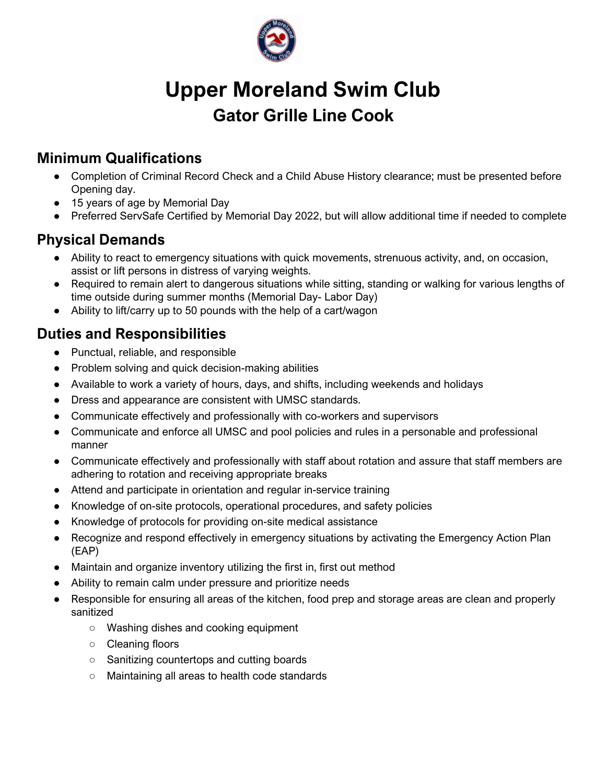

# **Upper Moreland Swim Club Gator Grille Line Cook**

# **Minimum Qualifications**

- Completion of Criminal Record Check and a Child Abuse History clearance; must be presented before Opening day.
- 15 years of age by Memorial Day
- Preferred ServSafe Certified by Memorial Day 2022, but will allow additional time if needed to complete

## **Physical Demands**

- Ability to react to emergency situations with quick movements, strenuous activity, and, on occasion, assist or lift persons in distress of varying weights.
- Required to remain alert to dangerous situations while sitting, standing or walking for various lengths of time outside during summer months (Memorial Day- Labor Day)
- Ability to lift/carry up to 50 pounds with the help of a cart/wagon

# **Duties and Responsibilities**

- Punctual, reliable, and responsible
- Problem solving and quick decision-making abilities
- Available to work a variety of hours, days, and shifts, including weekends and holidays
- Dress and appearance are consistent with UMSC standards.
- Communicate effectively and professionally with co-workers and supervisors
- Communicate and enforce all UMSC and pool policies and rules in a personable and professional manner
- Communicate effectively and professionally with staff about rotation and assure that staff members are adhering to rotation and receiving appropriate breaks
- Attend and participate in orientation and regular in-service training
- Knowledge of on-site protocols, operational procedures, and safety policies
- Knowledge of protocols for providing on-site medical assistance
- Recognize and respond effectively in emergency situations by activating the Emergency Action Plan (EAP)
- Maintain and organize inventory utilizing the first in, first out method
- Ability to remain calm under pressure and prioritize needs
- Responsible for ensuring all areas of the kitchen, food prep and storage areas are clean and properly sanitized
	- Washing dishes and cooking equipment
	- Cleaning floors
	- Sanitizing countertops and cutting boards
	- Maintaining all areas to health code standards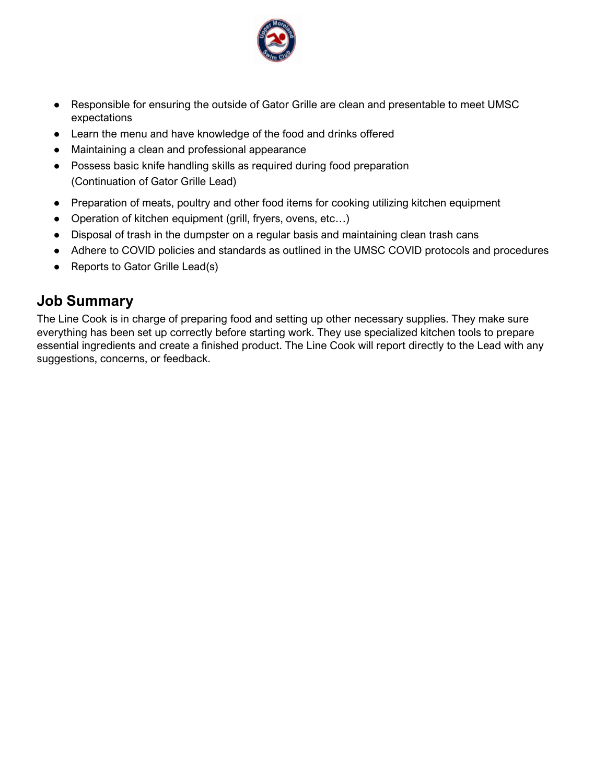

- Responsible for ensuring the outside of Gator Grille are clean and presentable to meet UMSC expectations
- Learn the menu and have knowledge of the food and drinks offered
- Maintaining a clean and professional appearance
- Possess basic knife handling skills as required during food preparation (Continuation of Gator Grille Lead)
- Preparation of meats, poultry and other food items for cooking utilizing kitchen equipment
- Operation of kitchen equipment (grill, fryers, ovens, etc...)
- Disposal of trash in the dumpster on a regular basis and maintaining clean trash cans
- Adhere to COVID policies and standards as outlined in the UMSC COVID protocols and procedures
- Reports to Gator Grille Lead(s)

#### **Job Summary**

The Line Cook is in charge of preparing food and setting up other necessary supplies. They make sure everything has been set up correctly before starting work. They use specialized kitchen tools to prepare essential ingredients and create a finished product. The Line Cook will report directly to the Lead with any suggestions, concerns, or feedback.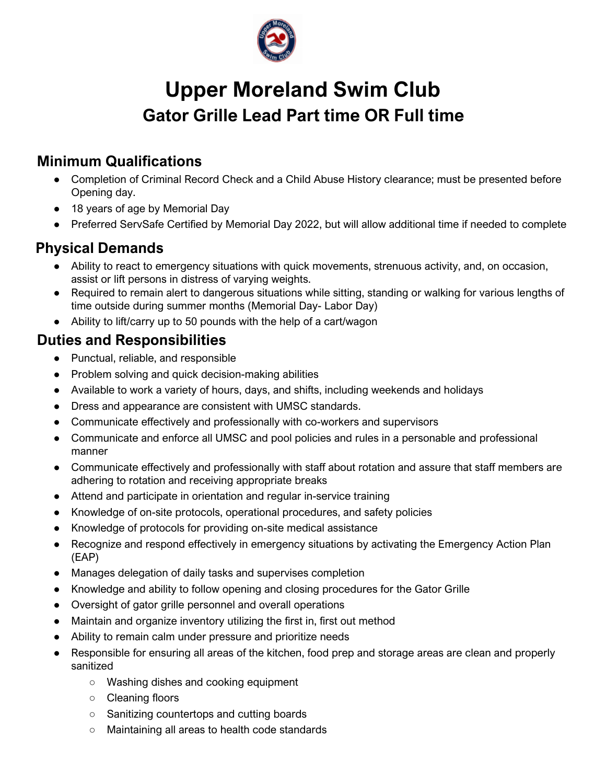

# **Upper Moreland Swim Club Gator Grille Lead Part time OR Full time**

### **Minimum Qualifications**

- Completion of Criminal Record Check and a Child Abuse History clearance; must be presented before Opening day.
- 18 years of age by Memorial Day
- Preferred ServSafe Certified by Memorial Day 2022, but will allow additional time if needed to complete

## **Physical Demands**

- Ability to react to emergency situations with quick movements, strenuous activity, and, on occasion, assist or lift persons in distress of varying weights.
- Required to remain alert to dangerous situations while sitting, standing or walking for various lengths of time outside during summer months (Memorial Day- Labor Day)
- Ability to lift/carry up to 50 pounds with the help of a cart/wagon

#### **Duties and Responsibilities**

- Punctual, reliable, and responsible
- Problem solving and quick decision-making abilities
- Available to work a variety of hours, days, and shifts, including weekends and holidays
- Dress and appearance are consistent with UMSC standards.
- Communicate effectively and professionally with co-workers and supervisors
- Communicate and enforce all UMSC and pool policies and rules in a personable and professional manner
- Communicate effectively and professionally with staff about rotation and assure that staff members are adhering to rotation and receiving appropriate breaks
- Attend and participate in orientation and regular in-service training
- Knowledge of on-site protocols, operational procedures, and safety policies
- Knowledge of protocols for providing on-site medical assistance
- Recognize and respond effectively in emergency situations by activating the Emergency Action Plan (EAP)
- Manages delegation of daily tasks and supervises completion
- Knowledge and ability to follow opening and closing procedures for the Gator Grille
- Oversight of gator grille personnel and overall operations
- Maintain and organize inventory utilizing the first in, first out method
- Ability to remain calm under pressure and prioritize needs
- Responsible for ensuring all areas of the kitchen, food prep and storage areas are clean and properly sanitized
	- Washing dishes and cooking equipment
	- Cleaning floors
	- Sanitizing countertops and cutting boards
	- Maintaining all areas to health code standards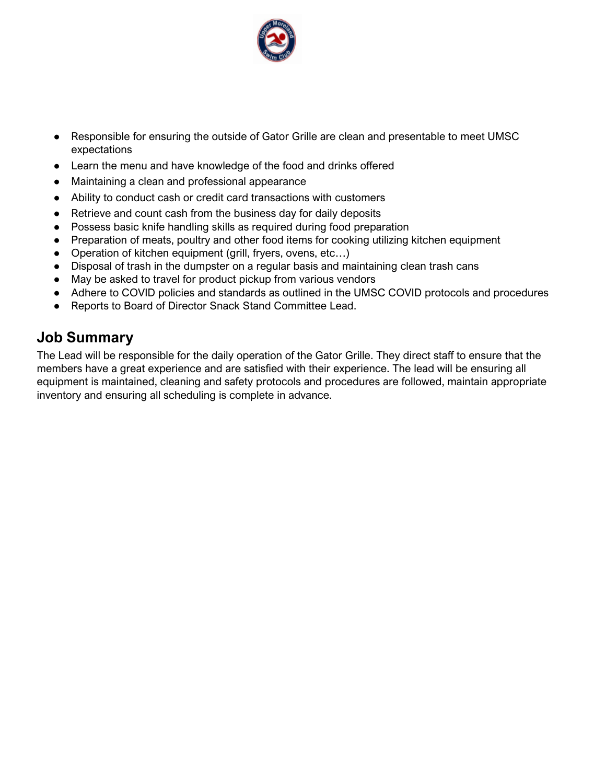

- Responsible for ensuring the outside of Gator Grille are clean and presentable to meet UMSC expectations
- Learn the menu and have knowledge of the food and drinks offered
- Maintaining a clean and professional appearance
- Ability to conduct cash or credit card transactions with customers
- Retrieve and count cash from the business day for daily deposits
- Possess basic knife handling skills as required during food preparation
- Preparation of meats, poultry and other food items for cooking utilizing kitchen equipment
- Operation of kitchen equipment (grill, fryers, ovens, etc...)
- Disposal of trash in the dumpster on a regular basis and maintaining clean trash cans
- May be asked to travel for product pickup from various vendors
- Adhere to COVID policies and standards as outlined in the UMSC COVID protocols and procedures
- Reports to Board of Director Snack Stand Committee Lead.

#### **Job Summary**

The Lead will be responsible for the daily operation of the Gator Grille. They direct staff to ensure that the members have a great experience and are satisfied with their experience. The lead will be ensuring all equipment is maintained, cleaning and safety protocols and procedures are followed, maintain appropriate inventory and ensuring all scheduling is complete in advance.